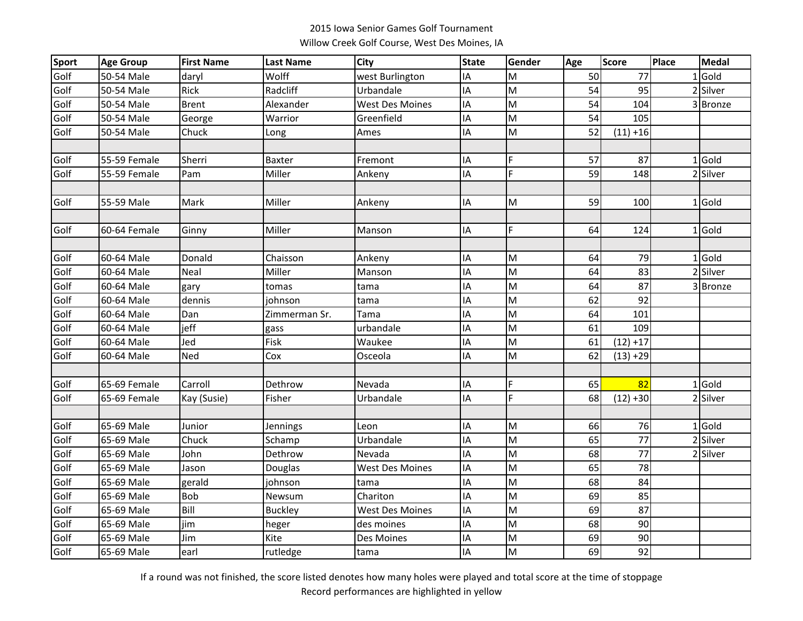## 2015 Iowa Senior Games Golf Tournament Willow Creek Golf Course, West Des Moines, IA

| <b>Sport</b> | <b>Age Group</b> | <b>First Name</b> | <b>Last Name</b> | City                   | <b>State</b> | Gender | Age | Score           | Place | <b>Medal</b> |
|--------------|------------------|-------------------|------------------|------------------------|--------------|--------|-----|-----------------|-------|--------------|
| Golf         | 50-54 Male       | daryl             | Wolff            | west Burlington        | IA           | M      | 50  | 77              |       | $1$ Gold     |
| Golf         | 50-54 Male       | Rick              | Radcliff         | Urbandale              | IA           | M      | 54  | 95              |       | 2 Silver     |
| Golf         | 50-54 Male       | <b>Brent</b>      | Alexander        | <b>West Des Moines</b> | IA           | M      | 54  | 104             |       | 3 Bronze     |
| Golf         | 50-54 Male       | George            | Warrior          | Greenfield             | IA           | M      | 54  | 105             |       |              |
| Golf         | 50-54 Male       | Chuck             | Long             | Ames                   | IA           | M      | 52  | $(11) + 16$     |       |              |
|              |                  |                   |                  |                        |              |        |     |                 |       |              |
| Golf         | 55-59 Female     | Sherri            | Baxter           | Fremont                | IA           | F      | 57  | 87              |       | 1 Gold       |
| Golf         | 55-59 Female     | Pam               | Miller           | Ankeny                 | IA           | F.     | 59  | 148             |       | 2 Silver     |
|              |                  |                   |                  |                        |              |        |     |                 |       |              |
| Golf         | 55-59 Male       | Mark              | Miller           | Ankeny                 | IA           | M      | 59  | 100             |       | 1 Gold       |
|              |                  |                   |                  |                        |              |        |     |                 |       |              |
| Golf         | 60-64 Female     | Ginny             | Miller           | Manson                 | IA           | F      | 64  | 124             |       | $1$ Gold     |
|              |                  |                   |                  |                        |              |        |     |                 |       |              |
| Golf         | 60-64 Male       | Donald            | Chaisson         | Ankeny                 | IA           | M      | 64  | 79              |       | 1 Gold       |
| Golf         | 60-64 Male       | Neal              | Miller           | Manson                 | IA           | M      | 64  | 83              |       | 2 Silver     |
| Golf         | 60-64 Male       | gary              | tomas            | tama                   | IA           | M      | 64  | 87              |       | 3 Bronze     |
| Golf         | 60-64 Male       | dennis            | iohnson          | tama                   | IA           | M      | 62  | 92              |       |              |
| Golf         | 60-64 Male       | Dan               | Zimmerman Sr.    | Tama                   | IA           | M      | 64  | 101             |       |              |
| Golf         | 60-64 Male       | jeff              | gass             | urbandale              | IA           | M      | 61  | 109             |       |              |
| Golf         | 60-64 Male       | Jed               | Fisk             | Waukee                 | IA           | M      | 61  | $(12) + 17$     |       |              |
| Golf         | 60-64 Male       | Ned               | Cox              | Osceola                | IA           | M      | 62  | $(13) + 29$     |       |              |
|              |                  |                   |                  |                        |              |        |     |                 |       |              |
| Golf         | 65-69 Female     | Carroll           | Dethrow          | Nevada                 | IA           | F      | 65  | 82              |       | $1$ Gold     |
| Golf         | 65-69 Female     | Kay (Susie)       | Fisher           | Urbandale              | IA           | F.     | 68  | $(12) + 30$     |       | 2 Silver     |
|              |                  |                   |                  |                        |              |        |     |                 |       |              |
| Golf         | 65-69 Male       | Junior            | Jennings         | Leon                   | IA           | M      | 66  | 76              |       | 1 Gold       |
| Golf         | 65-69 Male       | Chuck             | Schamp           | Urbandale              | IA           | M      | 65  | 77              |       | 2 Silver     |
| Golf         | 65-69 Male       | John              | Dethrow          | Nevada                 | IA           | M      | 68  | 77              |       | 2 Silver     |
| Golf         | 65-69 Male       | Jason             | Douglas          | <b>West Des Moines</b> | IA           | M      | 65  | $\overline{78}$ |       |              |
| Golf         | 65-69 Male       | gerald            | johnson          | tama                   | IA           | M      | 68  | 84              |       |              |
| Golf         | 65-69 Male       | Bob               | Newsum           | Chariton               | IA           | M      | 69  | 85              |       |              |
| Golf         | 65-69 Male       | Bill              | <b>Buckley</b>   | <b>West Des Moines</b> | IA           | M      | 69  | 87              |       |              |
| Golf         | 65-69 Male       | jim               | heger            | des moines             | IA           | M      | 68  | 90              |       |              |
| Golf         | 65-69 Male       | Jim               | Kite             | Des Moines             | IA           | M      | 69  | 90              |       |              |
| Golf         | 65-69 Male       | earl              | rutledge         | tama                   | IA           | M      | 69  | 92              |       |              |

If a round was not finished, the score listed denotes how many holes were played and total score at the time of stoppage Record performances are highlighted in yellow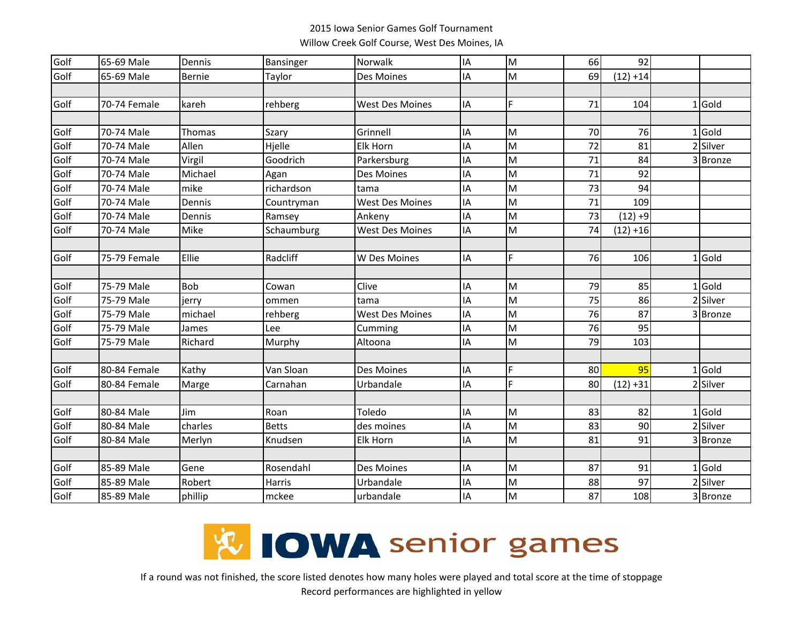## 2015 Iowa Senior Games Golf Tournament Willow Creek Golf Course, West Des Moines, IA

| Golf | 65-69 Male   | Dennis     | Bansinger    | Norwalk                | IA | M  | 66 | 92          |          |
|------|--------------|------------|--------------|------------------------|----|----|----|-------------|----------|
| Golf | 65-69 Male   | Bernie     | Taylor       | Des Moines             | IA | M  | 69 | $(12) + 14$ |          |
|      |              |            |              |                        |    |    |    |             |          |
| Golf | 70-74 Female | kareh      | rehberg      | <b>West Des Moines</b> | IA | E. | 71 | 104         | $1$ Gold |
|      |              |            |              |                        |    |    |    |             |          |
| Golf | 70-74 Male   | Thomas     | Szary        | Grinnell               | IA | M  | 70 | 76          | $1$ Gold |
| Golf | 70-74 Male   | Allen      | Hjelle       | Elk Horn               | ΙA | M  | 72 | 81          | 2 Silver |
| Golf | 70-74 Male   | Virgil     | Goodrich     | Parkersburg            | IA | M  | 71 | 84          | 3 Bronze |
| Golf | 70-74 Male   | Michael    | Agan         | Des Moines             | IA | M  | 71 | 92          |          |
| Golf | 70-74 Male   | mike       | richardson   | tama                   | IA | M  | 73 | 94          |          |
| Golf | 70-74 Male   | Dennis     | Countryman   | <b>West Des Moines</b> | ΙA | M  | 71 | 109         |          |
| Golf | 70-74 Male   | Dennis     | Ramsey       | Ankeny                 | ΙA | M  | 73 | $(12) + 9$  |          |
| Golf | 70-74 Male   | Mike       | Schaumburg   | <b>West Des Moines</b> | IA | M  | 74 | $(12) + 16$ |          |
|      |              |            |              |                        |    |    |    |             |          |
| Golf | 75-79 Female | Ellie      | Radcliff     | W Des Moines           | ΙA | F  | 76 | 106         | $1$ Gold |
|      |              |            |              |                        |    |    |    |             |          |
| Golf | 75-79 Male   | <b>Bob</b> | Cowan        | Clive                  | ΙA | M  | 79 | 85          | $1$ Gold |
| Golf | 75-79 Male   | jerry      | ommen        | tama                   | IA | M  | 75 | 86          | 2 Silver |
| Golf | 75-79 Male   | michael    | rehberg      | <b>West Des Moines</b> | IA | M  | 76 | 87          | 3 Bronze |
| Golf | 75-79 Male   | James      | Lee          | Cumming                | IA | M  | 76 | 95          |          |
| Golf | 75-79 Male   | Richard    | Murphy       | Altoona                | IA | M  | 79 | 103         |          |
|      |              |            |              |                        |    |    |    |             |          |
| Golf | 80-84 Female | Kathy      | Van Sloan    | Des Moines             | IA | F  | 80 | 95          | $1$ Gold |
| Golf | 80-84 Female | Marge      | Carnahan     | Urbandale              | ΙA | F  | 80 | $(12) + 31$ | 2 Silver |
|      |              |            |              |                        |    |    |    |             |          |
| Golf | 80-84 Male   | Jim        | Roan         | Toledo                 | IA | M  | 83 | 82          | $1$ Gold |
| Golf | 80-84 Male   | charles    | <b>Betts</b> | des moines             | IA | M  | 83 | 90          | 2 Silver |
| Golf | 80-84 Male   | Merlyn     | Knudsen      | Elk Horn               | ΙA | M  | 81 | 91          | 3 Bronze |
|      |              |            |              |                        |    |    |    |             |          |
| Golf | 85-89 Male   | Gene       | Rosendahl    | Des Moines             | ΙA | M  | 87 | 91          | $1$ Gold |
| Golf | 85-89 Male   | Robert     | Harris       | Urbandale              | ΙA | M  | 88 | 97          | 2 Silver |
| Golf | 85-89 Male   | phillip    | mckee        | urbandale              | ΙA | M  | 87 | 108         | 3 Bronze |



If a round was not finished, the score listed denotes how many holes were played and total score at the time of stoppage Record performances are highlighted in yellow